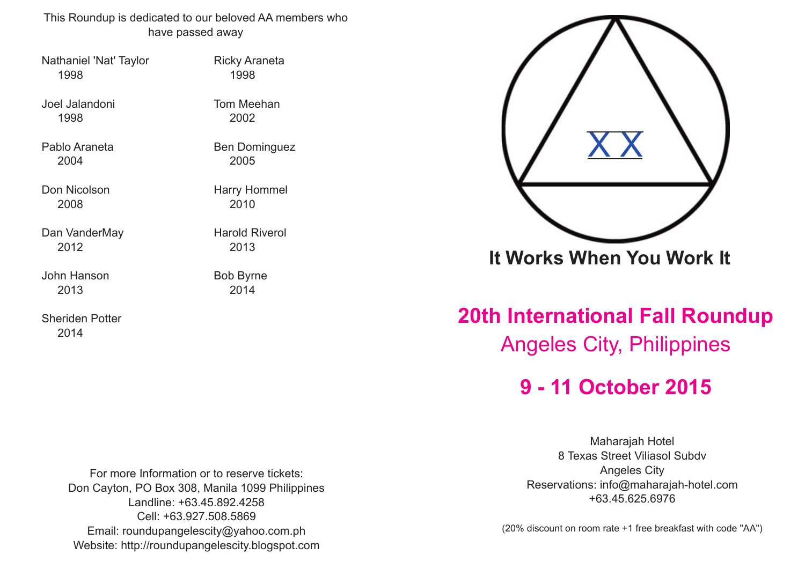This Roundup is dedicated to our beloved AA members who have passed away

Nathaniel 'Nat' Taylor **Ricky Araneta** 1998 1998

Joel Jalandoni Tom Meehan 1998 2002

Pablo Araneta Ben Dominguez 2004 2005

Don Nicolson Harry Hommel 2008 2010

Dan VanderMay **Harold Riverol** 2012 2013

John Hanson Bob Byrne 2013 2014

Sheriden Potter 2014

For more Information or to reserve tickets: Don Cayton, PO Box 308, Manila 1099 Philippines Landline: +63.45.892.4258 Cell: +63.927.508.5869 Email: roundupangelescity@yahoo.com.ph Website: http://roundupangelescity.blogspot.com



**It Works When You Work It**

**20th International Fall Roundup** Angeles City, Philippines

**9 11 October 2015**

Maharajah Hotel 8 Texas Street Viliasol Subdv Angeles City Reservations: info@maharajah-hotel.com +63.45.625.6976

(20% discount on room rate +1 free breakfast with code "AA")